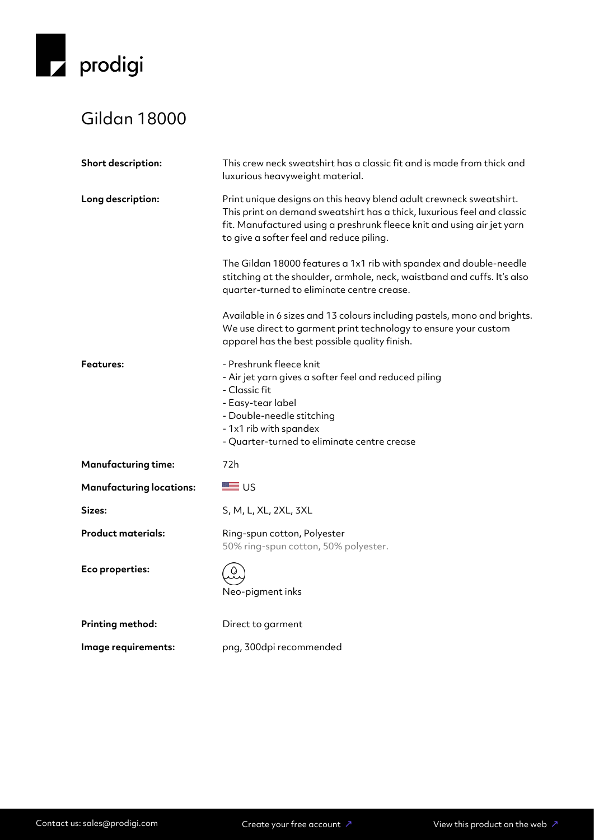

## Gildan 18000

| Short description:              | This crew neck sweatshirt has a classic fit and is made from thick and<br>luxurious heavyweight material.                                                                                                                                                            |
|---------------------------------|----------------------------------------------------------------------------------------------------------------------------------------------------------------------------------------------------------------------------------------------------------------------|
| Long description:               | Print unique designs on this heavy blend adult crewneck sweatshirt.<br>This print on demand sweatshirt has a thick, luxurious feel and classic<br>fit. Manufactured using a preshrunk fleece knit and using air jet yarn<br>to give a softer feel and reduce piling. |
|                                 | The Gildan 18000 features a 1x1 rib with spandex and double-needle<br>stitching at the shoulder, armhole, neck, waistband and cuffs. It's also<br>quarter-turned to eliminate centre crease.                                                                         |
|                                 | Available in 6 sizes and 13 colours including pastels, mono and brights.<br>We use direct to garment print technology to ensure your custom<br>apparel has the best possible quality finish.                                                                         |
| <b>Features:</b>                | - Preshrunk fleece knit<br>- Air jet yarn gives a softer feel and reduced piling<br>- Classic fit<br>- Easy-tear label<br>- Double-needle stitching<br>- 1x1 rib with spandex<br>- Quarter-turned to eliminate centre crease                                         |
| <b>Manufacturing time:</b>      | 72h                                                                                                                                                                                                                                                                  |
| <b>Manufacturing locations:</b> | ■ ∪ऽ                                                                                                                                                                                                                                                                 |
| Sizes:                          | S, M, L, XL, 2XL, 3XL                                                                                                                                                                                                                                                |
| <b>Product materials:</b>       | Ring-spun cotton, Polyester<br>50% ring-spun cotton, 50% polyester.                                                                                                                                                                                                  |
| Eco properties:                 | Neo-pigment inks                                                                                                                                                                                                                                                     |
| <b>Printing method:</b>         | Direct to garment                                                                                                                                                                                                                                                    |
| Image requirements:             | png, 300dpi recommended                                                                                                                                                                                                                                              |